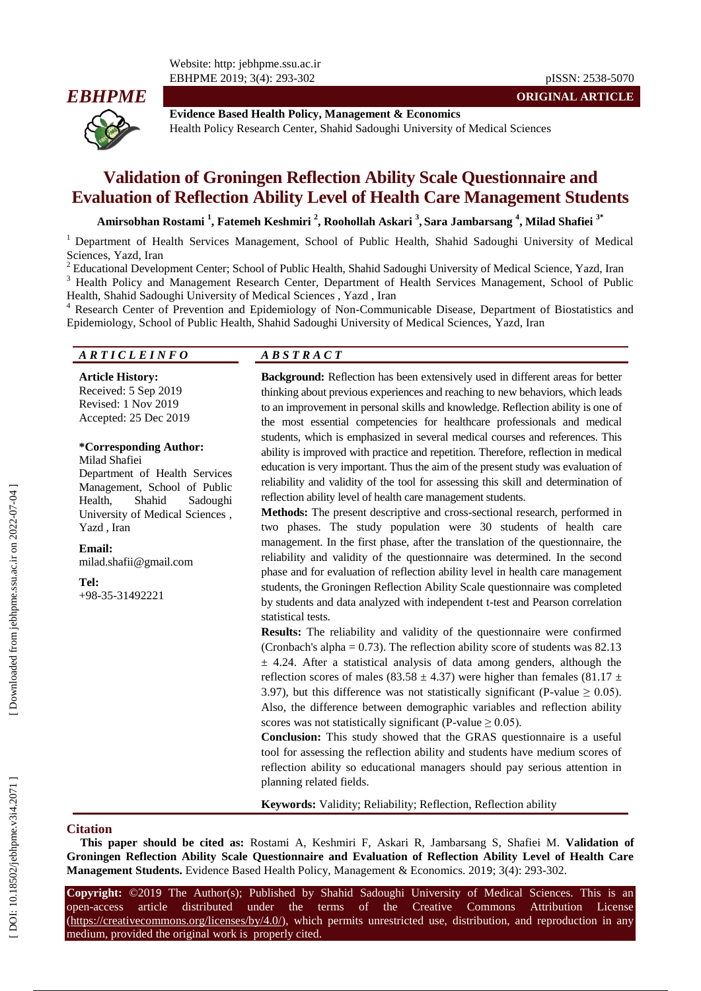

**Evidence Based Health Policy, Management & Economics** Health Policy Research Center, Shahid Sadoughi University of Medical Sciences

# **Validation of Groningen Reflection Ability Scale Questionnaire and Evaluation of Reflection Ability Level of Health Care Management Students**

**Amirsobhan Rostami 1 , Fatemeh Keshmiri 2 , Roohollah Askari 3 , Sara Jambarsang 4 , Milad Shafiei 3 \***

<sup>1</sup> Department of Health Services Management, School of Public Health, Shahid Sadoughi University of Medical

Sciences, Yazd, Iran<br><sup>2</sup> Educational Development Center; School of Public Health, Shahid Sadoughi University of Medical Science, Yazd, Iran<br><sup>3</sup> Health Policy and Management Research Center, Department of Health Services Ma

Health, Shahid Sadoughi University of Medical Sciences , Yazd , Iran<br><sup>4</sup> Research Center of Prevention and Epidemiology of Non-Communicable Disease, Department of Biostatistics and Epidemiology, School of Public Health, Shahid Sadoughi University of Medical Sciences, Yazd, Iran

#### *A R T I C L E I N F O A B S T R A C T*

**Article History:** Received: 5 Sep 201 9 Revised: 1 Nov 201 9 Accepted: 2 5 Dec 201 9

#### **\*Corresponding Author:**

Milad Shafiei Department of Health Services Management, School of Public Health, Shahid Sadoughi University of Medical Sciences , Yazd , Iran

**Email:** milad.shafii@gmail.com

**Tel:**

+98 -35 -31492221

Background: Reflection has been extensively used in different areas for better thinking about previous experiences and reaching to new behaviors, which lead s to an improvement in personal skills and knowledge. Reflection ability is one of the most essential competencies for healthcare professionals and medical students, which is emphasized in several medical courses and references. This ability is improved with practice and repetition. Therefore, reflection in medical education is very important. Thus the aim of the present study was evaluation of reliability and validity of the tool for assessing this skill and determination of reflection ability level of health care management students.

**Methods:** The present descriptive and cross -sectional research, performed in two phases. The study population were 30 students of health care management. In the first phase, after the translation of the questionnaire, the reliability and validity of the questionnaire was determined. In the second phase and for evaluation of reflection ability level in health care management students, the Groningen Reflection Ability Scale questionnaire was completed by students and data analyzed with independent t -test and Pearson correlation statistical tests.

**Results:** The reliability and validity of the questionnaire were confirmed (Cronbach's alpha =  $0.73$ ). The reflection ability score of students was 82.13  $\pm$  4.24. After a statistical analysis of data among genders, although the reflection scores of males (83.58  $\pm$  4.37) were higher than females (81.17  $\pm$ 3.97), but this difference was not statistically significant (P-value  $\geq 0.05$ ). Also, the difference between demographic variables and reflection ability scores was not statistically significant (P-value  $\geq 0.05$ ).

**Conclusion:** This study showed that the GRAS questionnaire is a useful tool for assessing the reflection ability and students have medium scores of reflection ability so educational managers should pay serious attention in planning related field s.

**Keywords:** Validity; Reliability; Reflection, Reflection ability

#### **Citation**

**This paper should be cited as:** Rostami A, Keshmiri F, Askari R, Jambarsang S, Shafiei M. **Validation of Groningen Reflection Ability Scale Questionnaire and Evaluation of Reflection Ability Level of Health Care**  Management Students. Evidence Based Health Policy, Management & Economics. 2019; 3(4): 293-302.

**Copyright:** ©201 9 The Author(s); Published by Shahid Sadoughi University of Medical Sciences. This is an open-access -access article distributed under the terms of the Creative Commons Attribution License (https://creativecommons.org/licenses/by/4.0/), which permits unrestricted use, distribution, and reproduction in any medium, provided the original work is properly cited.

**ORIGINAL ARTICLE**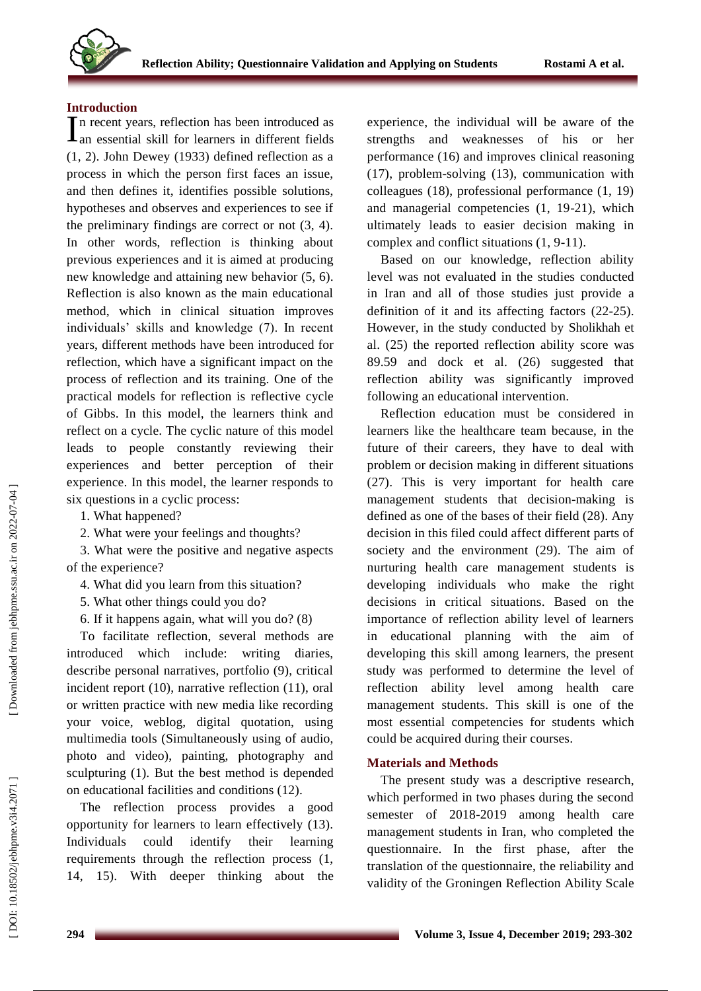

#### **Introduction**

n recent years, reflection has been introduced as In recent years, reflection has been introduced as<br>
In essential skill for learners in different fields (1, 2). John Dewey (1933) defined reflection as a process in which the person first faces an issue, and then defines it, identifies possible solutions, hypotheses and observes and experiences to see if the preliminary findings are correct or not (3, 4). In other words, reflection is thinking about previous experience s and it is aimed at producing new knowledge and attaining new behavior (5, 6). Reflection is also known as the main educational method, which in clinical situation improve s individuals' skills and knowledge (7). In recent years, different methods have been introduced for reflection, which have a significant impact on the process of reflection and its training. One of the practical models for reflection is reflective cycle of Gibb s. In this model, the learners think and reflect on a cycle. The cyclic nature of this model leads to people constantly reviewing their experiences and better perception of their experience. In this model, the learner responds to six questions in a cyclic process:

1. What happened?

2. What were your feelings and thoughts?

3. What were the positive and negative aspects of the experience?

- 4. What did you learn from this situation?
- 5. What other things could you do?
- 6. If it happen s again, what will you do? (8)

To facilitate reflection, several methods are introduced which include: writing diaries, describe personal narratives, portfolio (9), critical incident report (10), narrative reflection (11), oral or written practice with new media like recording your voice, weblog, digital quotation, using multimedia tools (Simultaneously using of audio, photo and video), painting, photography and sculpturing (1). But the best method is depended on educational facilities and conditions (12).

The reflection process provides a good opportunity for learners to learn effectively (13). Individuals could identify their learning requirements through the reflection process (1, 14, 15). With deeper thinking about the experience, the individual will be aware of the strengths and weaknesses of his or her performance (16) and improve s clinical reasoning (17), problem -solving (13), communication with colleagues (18), professional performance (1, 19) and managerial competencies (1, 19 -21), which ultimately leads to easier decision making in complex and conflict situations (1, 9 -11).

Based on our knowledge, reflection ability level was not evaluated in the studies conducted in Iran and all of those studies just provide a definition of it and its affecting factors (22 -25). However, in the study conducted by Sholikhah et al. (25) the reported reflection ability score was 89.59 and dock et al. (26) suggested that reflection ability was significantly improved following an educational intervention.

Reflection education must be considered in learners like the healthcare team because, in the future of their careers, they have to deal with problem or decision making in different situations (27). This is very important for health care management students that decision -making is defined as one of the bases of their field (28). Any decision in this filed could affect different parts of society and the environment (29). The aim of nurturing health care management students is developing individuals who make the right decisions in critical situations. Based on the importance of reflection ability level of learners in educational planning with the aim of developing this skill among learners, the present study was performed to determine the level of reflection ability level among health care management students. This skill is one of the most essential competencies for students which could be acquire d during their courses.

# **Materials and Methods**

The present study was a descriptive research, which performed in two phases during the second semester of 2018 -2019 among health care management students in Iran, who completed the questionnaire. In the first phase, after the translation of the questionnaire, the reliability and validity of the Groningen Reflection Ability Scale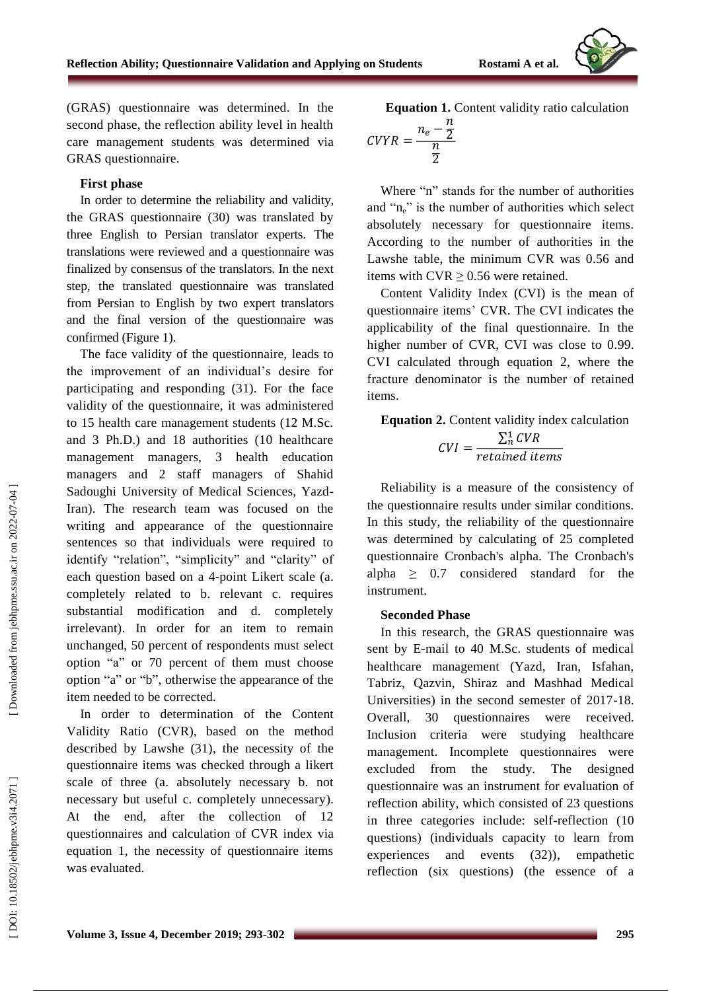(GRAS) questionnaire was determined. In the second phase, the reflection ability level in health care management students was determined via GRAS questionnaire.

#### **First phase**

In order to determine the reliability and validity , the GRAS questionnaire (30) was translated by three English to Persian translator experts. The translations were reviewed and a questionnaire was finalized by consensus of the translators. In the next step, the translated questionnaire was translated from Persian to English by two expert translator s and the final version of the questionnaire was confirmed (Figure 1).

The face validity of the questionnaire, leads to the improvement of an individual's desire for participating and responding (31). For the face validity of the questionnaire, it was administered to 15 health care management students (12 M.Sc. and 3 Ph.D.) and 18 authorities (10 healthcare management managers, 3 health education managers and 2 staff managers of Shahid Sadoughi University of Medical Sciences, Yazd - Iran). The research team was focused on the writing and appearance of the questionnaire sentences so that individuals were required to identify "relation", "simplicity" and "clarity" of each question based on a 4 -poin t Likert scale (a. completely related to b. relevant c. requires substantial modification and d. completely irrelevant). In order for an item to remain unchanged, 50 percent of respondents must select option "a" or 70 percent of them must choose option "a" or "b", otherwise the appearance of the item needed to be corrected.

In order to determination of the Content Validity Ratio (CVR), based on the method described by Lawshe (31), the necessity of the questionnaire items was checked through a likert scale of three (a. absolutely necessary b. not necessary but useful c. completely unnecessary ). At the end, after the collection of 12 questionnaires and calculation of CVR index via equation 1, the necessity of questionnaire items was evaluated.

**Equation 1.** Content validity ratio calculation  

$$
n_e - \frac{n}{2}
$$

$$
CVYR = \frac{n_e}{\frac{n}{2}}
$$

Where "n" stands for the number of authorities and "n<sub>e</sub>" is the number of authorities which select absolutely necessary for questionnaire items. According to the number of authorities in the Lawshe table, the minimum CVR was 0.56 and items with  $CVR \ge 0.56$  were retained.

Content Validity Index (CVI) is the mean of questionnaire items ' CVR. The CVI indicates the applicability of the final questionnaire. In the higher number of CVR, CVI was close to 0.99. CVI calculated through equation 2, where the fracture denominator is the number of retained items.

# **Equation 2.** Content validity index calculation

$$
CVI = \frac{\sum_{n}^{1} CVR}{retained items}
$$

Reliability is a measure of the consistency of the questionnaire results under similar conditions. In this study, the reliability of the questionnaire was determined by calculating of 25 completed questionnaire Cronbach's alpha. The Cronbach's alpha  $\geq$  0.7 considered standard for the instrument.

#### **Seconded Phase**

In this research, the GRAS questionnaire was sent by E -mail to 40 M.Sc. students of medical healthcare management (Yazd, Iran, Isfahan, Tabriz, Qazvin, Shiraz and Mashhad Medical Universities) in the second semester of 2017 -18. Overall, 30 questionnaires were received. Inclusion criteria were studying healthcare management. Incomplete questionnaires were excluded from the study. The designed questionnaire was an instrument for evaluation of reflection ability, which consisted of 23 questions in three categorie s include: self -reflection (10 questions ) (individuals capacity to learn from experiences and events (32)), empathetic reflection (six questions) (the essence of a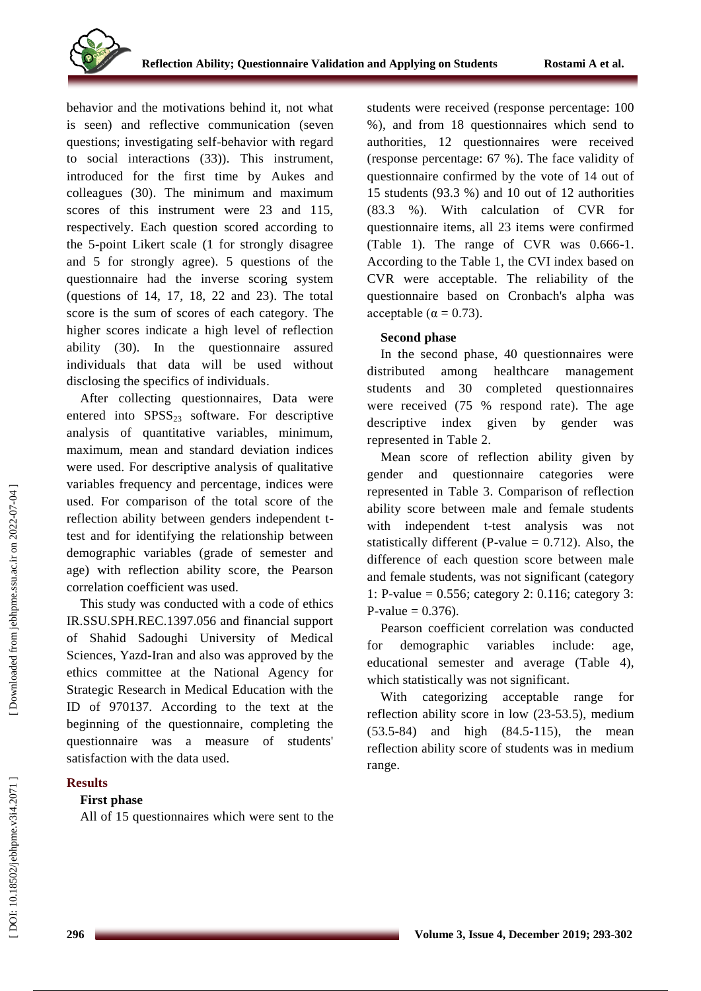behavior and the motivations behind it, not what is seen) and reflective communication (seven questions; investigating self -behavior with regard to social interactions (33)). This instrument, introduced for the first time by Aukes and colleague s (30). The minimum and maximum scores of this instrument were 23 and 115, respectively. Each question scored according to the 5 -point Likert scale (1 for strongly disagree and 5 for strongly agree). 5 questions of the questionnaire had the inverse scoring system (questions of 14, 17, 18, 22 and 23). The total score is the sum of scores of each category. The higher score s indicate a high level of reflection ability (30). In the questionnaire assured individuals that data will be used without disclosing the specifics of individuals .

After collecting questionnaires, Data were entered into  $SPSS<sub>23</sub>$  software. For descriptive analysis of quantitative variables, minimum, maximum, mean and standard deviation indices were used. For descriptive analysis of qualitative variables frequency and percentage, indices were used. For comparison of the total score of the reflection ability between genders independent t test and for identifying the relationship between demographic variables (grade of semester and age) with reflection ability score, the Pearson correlation coefficient was used.

This study was conducted with a code of ethics IR.SSU.SPH.REC.1397.056 and financial support of Shahid Sadoughi University of Medical Sciences, Yazd -Iran and also was approved by the ethics committee at the National Agency for Strategic Research in Medical Education with the ID of 970137. According to the text at the beginning of the questionnaire, completing the questionnaire was a measure of students' satisfaction with the data used.

## **Results**

## **First phase**

All of 15 questionnaires which were sent to the

students were received (response percentage: 100 %), and from 18 questionnaires which send to authorities, 12 questionnaires were received (response percentage: 67 %). The face validity of questionnaire confirmed by the vote of 14 out of 15 student s (93.3 %) and 10 out of 12 authorities (83.3 %). With calculation of CVR for questionnaire items, all 23 items were confirmed (Table 1). The range of CVR was 0.666-1. According to the Table 1, the CVI index based on CVR were acceptable. The reliability of the questionnaire based on Cronbach's alpha was acceptable ( $\alpha = 0.73$ ).

# **Second phase**

In the second phase, 40 questionnaires were distributed among healthcare management student s and 30 completed questionnaires were received (75 % respond rate). The age descriptive index given by gender was represented in Table 2.

Mean score of reflection ability given by gender and questionnaire categories were represented in Table 3. Comparison of reflection ability score between male and female students with independent t -test analysis was not statistically different (P-value  $= 0.712$ ). Also, the difference of each question score between male and female student s, was not significant (category 1: P -value = 0.556; category 2: 0.116; category 3: P-value =  $0.376$ ).

Pearson coefficient correlation was conducted for demographic variables include: age, educational semester and average (Table 4), which statistically was not significant.

With categorizing acceptable range for reflection ability score in low (23 -53.5), medium (53.5 -84) and high (84.5 -115), the mean reflection ability score of students was in medium range.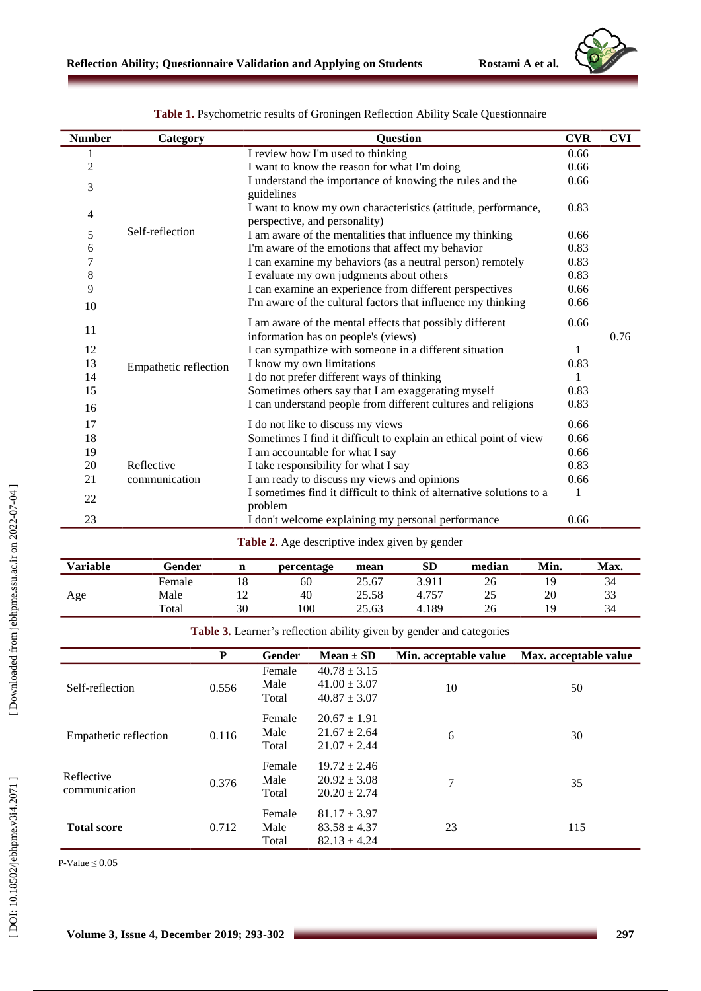

| <b>Number</b>  | Category              | <b>Question</b>                                                                                 | <b>CVR</b> | <b>CVI</b> |
|----------------|-----------------------|-------------------------------------------------------------------------------------------------|------------|------------|
| 1              |                       | I review how I'm used to thinking                                                               | 0.66       |            |
| $\overline{c}$ |                       | I want to know the reason for what I'm doing                                                    | 0.66       |            |
| 3              |                       | I understand the importance of knowing the rules and the<br>guidelines                          | 0.66       |            |
| 4              |                       | I want to know my own characteristics (attitude, performance,<br>perspective, and personality)  | 0.83       |            |
| 5              | Self-reflection       | I am aware of the mentalities that influence my thinking                                        | 0.66       |            |
| 6              |                       | I'm aware of the emotions that affect my behavior                                               | 0.83       |            |
| 7              |                       | I can examine my behaviors (as a neutral person) remotely                                       | 0.83       |            |
| 8              |                       | I evaluate my own judgments about others                                                        | 0.83       |            |
| 9              |                       | I can examine an experience from different perspectives                                         | 0.66       |            |
| 10             |                       | I'm aware of the cultural factors that influence my thinking                                    | 0.66       |            |
| 11             |                       | I am aware of the mental effects that possibly different<br>information has on people's (views) | 0.66       | 0.76       |
| 12             |                       | I can sympathize with someone in a different situation                                          |            |            |
| 13             |                       | I know my own limitations                                                                       | 0.83       |            |
| 14             | Empathetic reflection | I do not prefer different ways of thinking                                                      |            |            |
| 15             |                       | Sometimes others say that I am exaggerating myself                                              | 0.83       |            |
| 16             |                       | I can understand people from different cultures and religions                                   | 0.83       |            |
| 17             |                       | I do not like to discuss my views                                                               | 0.66       |            |
| 18             |                       | Sometimes I find it difficult to explain an ethical point of view                               | 0.66       |            |
| 19             |                       | I am accountable for what I say                                                                 | 0.66       |            |
| 20             | Reflective            | I take responsibility for what I say                                                            | 0.83       |            |
| 21             | communication         | I am ready to discuss my views and opinions                                                     | 0.66       |            |
| 22             |                       | I sometimes find it difficult to think of alternative solutions to a<br>problem                 | 1          |            |
| 23             |                       | I don't welcome explaining my personal performance                                              | 0.66       |            |

Table 1. Psychometric results of Groningen Reflection Ability Scale Questionnaire

**Table 2.** Age descriptive index given by gender

| <b>Variable</b> | Gender | n  | percentage | mean  | <b>SD</b> | median | Min. | Max. |
|-----------------|--------|----|------------|-------|-----------|--------|------|------|
|                 | Female | 18 | 60         | 25.67 | 3.911     | 26     | 19   | 34   |
| Age             | Male   |    | 40         | 25.58 | 4.757     | 25     | 20   | 33   |
|                 | Total  | 30 | 100        | 25.63 | 4.189     | 26     | 19   | 34   |

**Table 3.** Learner's reflection ability given by gender and categories

|                             | P     | Gender                  | $Mean \pm SD$                                            | Min. acceptable value | Max. acceptable value |
|-----------------------------|-------|-------------------------|----------------------------------------------------------|-----------------------|-----------------------|
| Self-reflection             | 0.556 | Female<br>Male<br>Total | $40.78 \pm 3.15$<br>$41.00 \pm 3.07$<br>$40.87 \pm 3.07$ | 10                    | 50                    |
| Empathetic reflection       | 0.116 | Female<br>Male<br>Total | $20.67 \pm 1.91$<br>$21.67 \pm 2.64$<br>$21.07 \pm 2.44$ | 6                     | 30                    |
| Reflective<br>communication | 0.376 | Female<br>Male<br>Total | $19.72 \pm 2.46$<br>$20.92 \pm 3.08$<br>$20.20 \pm 2.74$ | 7                     | 35                    |
| <b>Total score</b>          | 0.712 | Female<br>Male<br>Total | $81.17 \pm 3.97$<br>$83.58 \pm 4.37$<br>$82.13 \pm 4.24$ | 23                    | 115                   |

[DOI: 10.18502/jebhpme.v3i4.2071]

 $P-Value \leq 0.05$ 

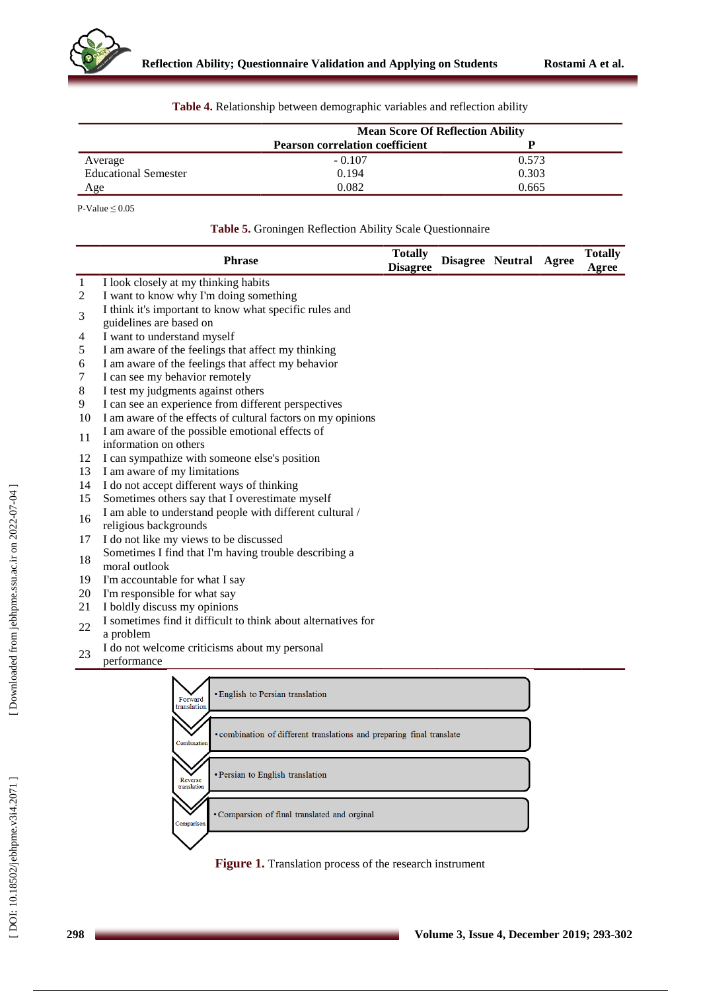

|                             | <b>Mean Score Of Reflection Ability</b> |       |  |  |
|-----------------------------|-----------------------------------------|-------|--|--|
|                             | <b>Pearson correlation coefficient</b>  |       |  |  |
| Average                     | $-0.107$                                | 0.573 |  |  |
| <b>Educational Semester</b> | 0.194                                   | 0.303 |  |  |
| Age                         | 0.082                                   | 0.665 |  |  |

**Table 4.** Relationship between demographic variables and reflection ability

 $P-Value \leq 0.05$ 

| Table 5. Groningen Reflection Ability Scale Questionnaire |  |  |
|-----------------------------------------------------------|--|--|
|                                                           |  |  |

|    | <b>Phrase</b>                                                                        | <b>Totally</b><br><b>Disagree</b> |  | Disagree Neutral Agree |  | <b>Totally</b><br>Agree |
|----|--------------------------------------------------------------------------------------|-----------------------------------|--|------------------------|--|-------------------------|
| 1  | I look closely at my thinking habits                                                 |                                   |  |                        |  |                         |
| 2  | I want to know why I'm doing something                                               |                                   |  |                        |  |                         |
| 3  | I think it's important to know what specific rules and                               |                                   |  |                        |  |                         |
|    | guidelines are based on                                                              |                                   |  |                        |  |                         |
| 4  | I want to understand myself                                                          |                                   |  |                        |  |                         |
| 5  | I am aware of the feelings that affect my thinking                                   |                                   |  |                        |  |                         |
| 6  | I am aware of the feelings that affect my behavior                                   |                                   |  |                        |  |                         |
| 7  | I can see my behavior remotely                                                       |                                   |  |                        |  |                         |
| 8  | I test my judgments against others                                                   |                                   |  |                        |  |                         |
| 9  | I can see an experience from different perspectives                                  |                                   |  |                        |  |                         |
| 10 | I am aware of the effects of cultural factors on my opinions                         |                                   |  |                        |  |                         |
| 11 | I am aware of the possible emotional effects of                                      |                                   |  |                        |  |                         |
|    | information on others                                                                |                                   |  |                        |  |                         |
| 12 | I can sympathize with someone else's position                                        |                                   |  |                        |  |                         |
| 13 | I am aware of my limitations                                                         |                                   |  |                        |  |                         |
| 14 | I do not accept different ways of thinking                                           |                                   |  |                        |  |                         |
| 15 | Sometimes others say that I overestimate myself                                      |                                   |  |                        |  |                         |
| 16 | I am able to understand people with different cultural /                             |                                   |  |                        |  |                         |
|    | religious backgrounds                                                                |                                   |  |                        |  |                         |
| 17 | I do not like my views to be discussed                                               |                                   |  |                        |  |                         |
| 18 | Sometimes I find that I'm having trouble describing a                                |                                   |  |                        |  |                         |
|    | moral outlook                                                                        |                                   |  |                        |  |                         |
| 19 | I'm accountable for what I say                                                       |                                   |  |                        |  |                         |
| 20 | I'm responsible for what say                                                         |                                   |  |                        |  |                         |
| 21 | I boldly discuss my opinions                                                         |                                   |  |                        |  |                         |
| 22 | I sometimes find it difficult to think about alternatives for                        |                                   |  |                        |  |                         |
|    | a problem                                                                            |                                   |  |                        |  |                         |
| 23 | I do not welcome criticisms about my personal                                        |                                   |  |                        |  |                         |
|    | performance                                                                          |                                   |  |                        |  |                         |
|    | · English to Persian translation<br>Forward<br>translation                           |                                   |  |                        |  |                         |
|    | · combination of different translations and preparing final translate<br>Combination |                                   |  |                        |  |                         |
|    | • Persian to English translation                                                     |                                   |  |                        |  |                         |

· Comparsion of final translated and orginal

Reverse<br>translatio

**Comparis** 

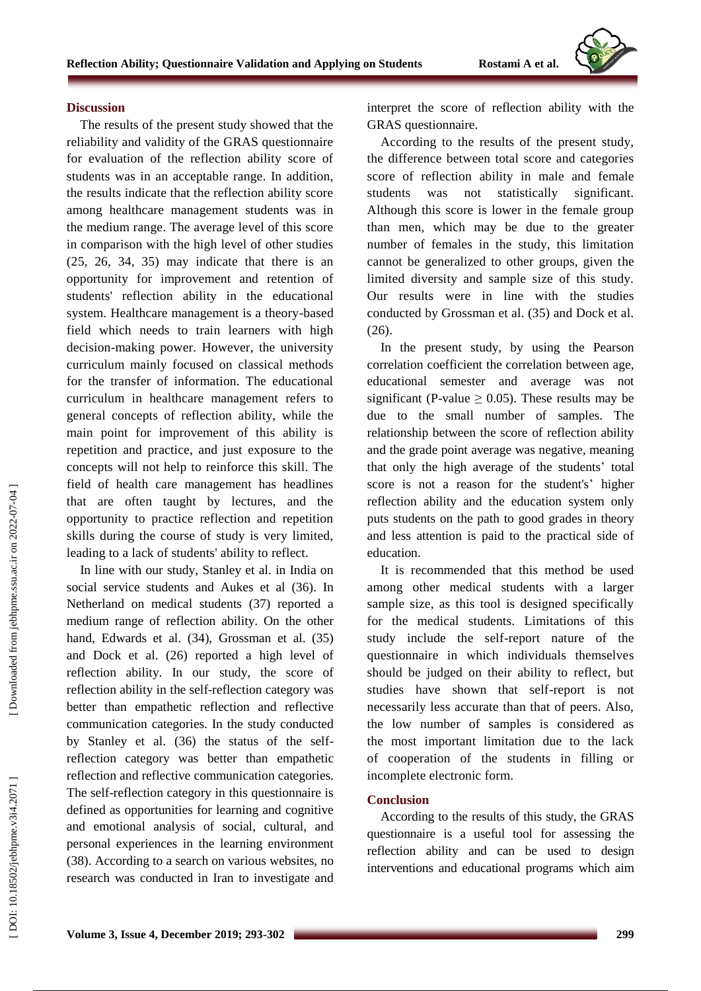

#### **Discussion**

The results of the present study showed that the reliability and validity of the GRAS questionnaire for evaluation of the reflection ability score of students was in an acceptable range. In addition, the results indicate that the reflection ability score among healthcare management students was in the medium range. The average level of this score in comparison with the high level of other studies (25, 26, 34, 35) may indicate that there is an opportunity for improvement and retention of students' reflection ability in the educational system. Healthcare management is a theory -based field which needs to train learners with high decision -making power. However, the university curriculum mainly focused on classical methods for the transfer of information. The educational curriculum in healthcare management refers to general concepts of reflection ability, while the main point for improvement of this ability is repetition and practice, and just exposure to the concepts will not help to reinforce this skill. The field of health care management has headlines that are often taught by lectures, and the opportunity to practice reflection and repetition skills during the course of study is very limited, leading to a lack of students' ability to reflect.

In line with our study, Stanley et al. in India on social service students and Aukes et al (36). In Netherland on medical students (37) reported a medium range of reflection ability. On the other hand, Edwards et al. (34), Grossman et al. (35) and Dock et al. (26) reported a high level of reflection ability. In our study, the score of reflection ability in the self-reflection category was better than empathetic reflection and reflective communication categories. In the study conducted by Stanley et al. (36) the status of the self reflection category was better than empathetic reflection and reflective communication categories. The self-reflection category in this questionnaire is defined as opportunities for learning and cognitive and emotional analysis of social, cultural, and personal experiences in the learning environment (38). According to a search on various websites, no research was conducted in Iran to investigate and

interpret the score of reflection ability with the GRAS questionnaire.

According to the results of the present study, the difference between total score and categories score of reflection ability in male and female students was not statistically significant. Although this score is lower in the female group than men, which may be due to the greater number of females in the study, this limitation cannot be generalized to other groups, given the limited diversity and sample size of this study. Our results were in line with the studies conducted by Grossman et al. (35) and Dock et al. (26).

In the present study, by using the Pearson correlation coefficient the correlation between age, educational semester and average was not significant (P-value  $\geq$  0.05). These results may be due to the small number of samples. The relationship between the score of reflection ability and the grade point average was negative, meaning that only the high average of the students ' total score is not a reason for the student's ' higher reflection ability and the education system only puts students on the path to good grades in theory and less attention is paid to the practical side of education.

It is recommended that this method be used among other medical students with a larger sample size, as this tool is designed specifically for the medical students. Limitations of this study include the self -report nature of the questionnaire in which individuals themselves should be judged on their ability to reflect, but studies have shown that self -report is not necessarily less accurate than that of peers. Also, the low number of samples is considered as the most important limitation due to the lack of cooperation of the students in filling or incomplete electronic form.

## **Conclusion**

According to the results of this study, the GRAS questionnaire is a useful tool for assessing the reflection ability and can be used to design interventions and educational programs which aim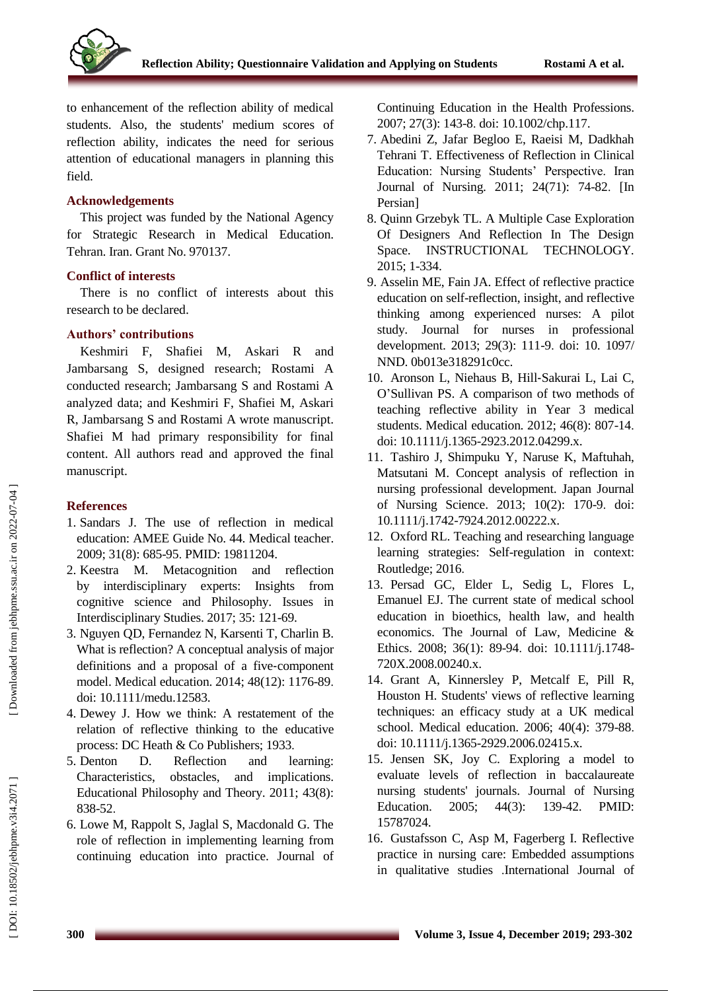to enhancement of the reflection ability of medical students. Also, the students' medium scores of reflection ability, indicates the need for serious attention of educational managers in planning this field.

#### **Acknowledgements**

This project was funded by the National Agency for Strategic Research in Medical Education. Tehran. Iran. Grant No. 970137 .

# **Conflict of interests**

There is no conflict of interests about this research to be declared.

#### **Authors' contribution s**

Keshmiri F, Shafiei M , Askari R and Jambarsang S, designed research; Rostami A conducted research; Jambarsang S and Rostami A analyzed data ; and Keshmiri F, Shafiei M , Askari R, Jambarsang S and Rostami A wrote manuscript. Shafiei M had primary responsibility for final content. All authors read and approved the final manuscript.

## **References**

- 1. Sandars J. The use of reflection in medical education: AMEE Guide No. 44. Medical teacher. 2009; 31(8): 685 -95 . PMID: 19811204 .
- 2 . Keestra M. Metacognition and reflection by interdisciplinary experts: Insights from cognitive science and Philosophy. Issues in Interdisciplinary Studies. 2017; 35: 121 -69.
- 3 . Nguyen QD, Fernandez N, Karsenti T, Charlin B. What is reflection? A conceptual analysis of major definitions and a proposal of a five ‐component model. Medical education. 2014; 48(12): 1176 -89 . doi: 10.1111/medu.12583.
- 4 . Dewey J. How we think: A restatement of the relation of reflective thinking to the educative process: DC Heath & Co Publishers; 1933.
- 5 Denton D. Reflection and learning: Characteristics, obstacles, and implications. Educational Philosophy and Theory. 2011; 43(8): 838 -52 .
- 6 . Lowe M, Rappolt S, Jaglal S, Macdonald G. The role of reflection i n implementing learning from continuing education into practice. Journal of

Continuing Education in the Health Professions. 2007; 27(3): 143-8. doi: 10.1002/chp.117.

- 7 . Abedini Z, Jafar Begloo E, Raeisi M, Dadkhah Tehrani T. Effectiveness of Reflection in Clinical Education: Nursing Students' Perspective. Iran Journal of Nursing. 2011; 24(71): 74 -82 . [In Persian]
- 8 . Quinn Grzebyk TL. A Multiple Case Exploration Of Designers And Reflection In The Design Space. INSTRUCTIONAL TECHNOLOGY. 2015; 1 -334.
- 9 . Asselin ME, Fain JA. Effect of reflective practice education on self-reflection, insight, and reflective thinking among experienced nurses: A pilot study. Journal for nurses in professional development. 2013; 29(3): 111-9. doi: 10. 1097/ NND. 0b013e318291c0cc.
- 10 . Aronson L, Niehaus B, Hill ‐Sakurai L, Lai C, O 'Sullivan PS. A comparison of two methods of teaching reflective ability in Year 3 medical students. Medical education. 2012; 46(8): 807 -14 . doi: 10.1111/j.1365 -2923.2012.04299.x.
- 11 . Tashiro J, Shimpuku Y, Naruse K, Maftuhah, Matsutani M. Concept analysis of reflection in nursing professional development. Japan Journal of Nursing Science. 2013; 10(2): 170 - 9 . doi: 10.1111/j.1742 -7924.2012.00222.x.
- 12 . Oxford RL. Teaching and researching language learning strategies: Self-regulation in context: Routledge; 2016 .
- 13 . Persad GC, Elder L, Sedig L, Flores L, Emanuel EJ. The current state of medical school education in bioethics, health law, and health economics. The Journal of Law, Medicine & Ethics. 2008; 36(1): 89-94. doi: 10.1111/j.1748-720X.2008.00240.x .
- 14 . Grant A, Kinnersley P, Metcalf E, Pill R, Houston H. Students' views of reflective learning techniques: an efficacy study at a UK medical school. Medical education. 2006; 40(4): 379 -88 . doi: 10.1111/j.1365 -2929.2006.02415.x .
- 15 . Jensen SK, Joy C. Exploring a model to evaluate levels of reflection in baccalaureate nursing students' journals. Journal of Nursing Education. 2005; 44(3): 139-42. PMID: 15787024 .
- 16 . Gustafsson C, Asp M, Fagerberg I. Reflective practice in nursing care: Embedded assumptions in qualitative studies .International Journal of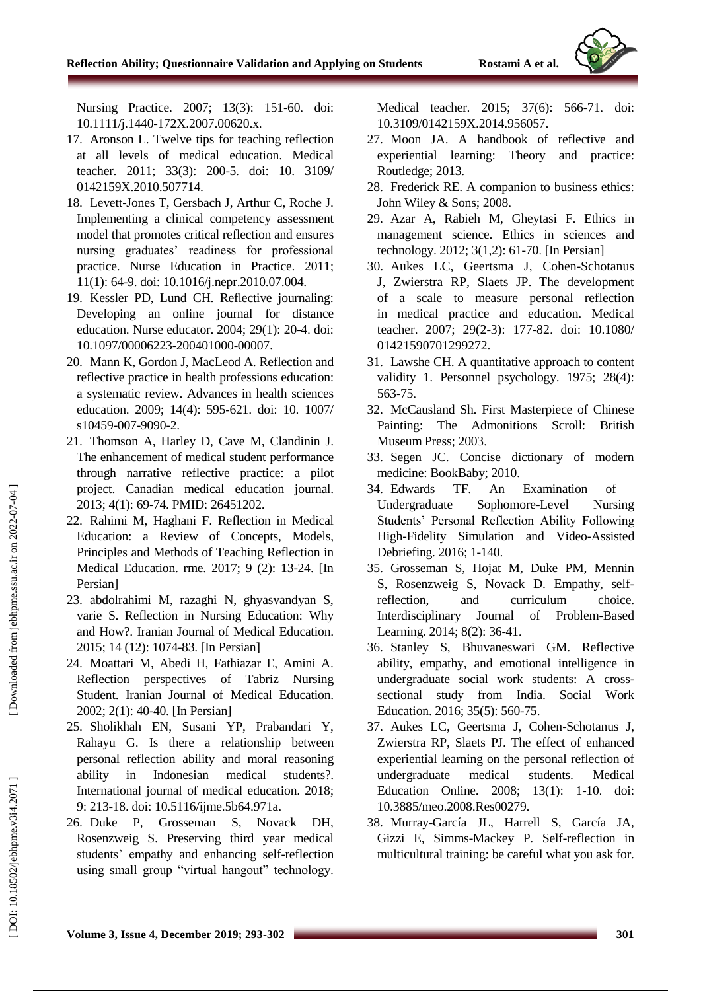Nursing Practice. 2007; 13(3): 151 -60 . doi: 10.1111/j.1440 -172X.2007.00620.x .

- 17 . Aronson L. Twelve tips for teaching reflection at all levels of medical education. Medical teacher. 2011; 33(3): 200 -5. doi: 10. 3109/ 0142159X.2010.507714 .
- 18 . Levett -Jones T, Gersbach J, Arthur C, Roche J. Implementing a clinical competency assessment model that promotes critical reflection and ensures nursing graduates' readiness for professional practice. Nurse Education in Practice. 2011; 11(1): 64 - 9 . doi: 10.1016/j.nepr.2010.07.004.
- 19 . Kessler PD, Lund CH. Reflective journaling: Developing an online journal for distance education. Nurse educator. 2004; 29(1): 20-4. doi: 10.1097/00006223 -200401000 -00007 .
- 20 . Mann K, Gordon J, MacLeod A. Reflection and reflective practice in health professions education: a systematic review. Advances in health sciences education. 2009; 14(4): 595 -621. doi: 10. 1007/ s10459-007-9090-2.
- 21 . Thomson A, Harley D, Cave M, Clandinin J. The enhancement of medical student performance through narrative reflective practice: a pilot project. Canadian medical education journal. 2013; 4(1): 69 -74. PMID: 26451202.
- 22 . Rahimi M, Haghani F. Reflection in Medical Education: a Review of Concepts, Models, Principles and Methods of Teaching Reflection in Medical Education. rme. 2017; 9 (2): 13 -24. [In Persian]
- 23 . abdolrahimi M, razaghi N, ghyasvandyan S, varie S. Reflection in Nursing Education: Why and How?. Iranian Journal of Medical Education. 2015; 14 (12): 1074 -83. [In Persian]
- 24 . Moattari M, Abedi H, Fathiazar E, Amini A. Reflection perspectives of Tabriz Nursing Student. Iranian Journal of Medical Education. 2002; 2(1): 40 -40. [In Persian]
- 25 . Sholikhah EN, Susani YP, Prabandari Y, Rahayu G. Is there a relationship between personal reflection ability and moral reasoning ability in Indonesian medical students?. International journal of medical education. 2018; 9: 213 -18. doi: 10.5116/ijme.5b64.971a .
- 26. Duke P, Grosseman S, Novack DH, Rosenzweig S. Preserving third year medical students' empathy and enhancing self-reflection using small group "virtual hangout" technology.

Medical teacher. 2015; 37(6): 566 -71 . doi: 10.3109/0142159X.2014.956057 .

- 27 . Moon JA. A handbook of reflective and experiential learning: Theory and practice: Routledge; 2013 .
- 28 . Frederick RE. A companion to business ethics: John Wiley & Sons; 2008.
- 29 . Azar A, Rabieh M, Gheytasi F. Ethics in management science. Ethics in sciences and technology. 2012; 3(1,2): 61 -70 . [In Persian]
- 30 . Aukes LC, Geertsma J, Cohen -Schotanus J, Zwierstra RP, Slaets JP. The development of a scale to measure personal reflection in medical practice and education. Medical teacher. 2007; 29(2-3): 177-82. doi: 10.1080/ 01421590701299272 .
- 31 . Lawshe CH. A quantitative approach to content validity 1. Personnel psychology. 1975; 28(4): 563 -75 .
- 32 . McCausland Sh. First Masterpiece of Chinese Painting: The Admonitions Scroll: British Museum Press; 2003 .
- 33 . Segen JC. Concise dictionary of modern medicine: BookBaby; 2010 .
- 34. Edwards TF. An Examination of Undergraduate Sophomore-Level Nursing Students' Personal Reflection Ability Following High -Fidelity Simulation and Video -Assisted Debriefing. 2016; 1 -140.
- 35 . Grosseman S, Hojat M, Duke PM, Mennin S, Rosenzweig S, Novack D. Empathy, sel freflection, and curriculum choice. Interdisciplinary Journal of Problem-Based Learning. 2014; 8(2): 36-41.
- 36 . Stanley S, Bhuvaneswari GM. Reflective ability, empathy, and emotional intelligence in undergraduate social work students: A cross sectional study from India. Social Work Education. 2016; 35(5): 560 -75 .
- 37 . Aukes LC, Geertsma J, Cohen -Schotanus J, Zwierstra RP, Slaets PJ. The effect of enhanced experiential learning on the personal reflection of undergraduate medical students. Medical Education Online. 2008; 13(1): 1 -10 . doi: 10.3885/meo.2008.Res00279.
- 38 . Murray -García JL, Harrell S, García JA, Gizzi E, Simms -Mackey P. Self-reflection in multicultural training: be careful what you ask for.